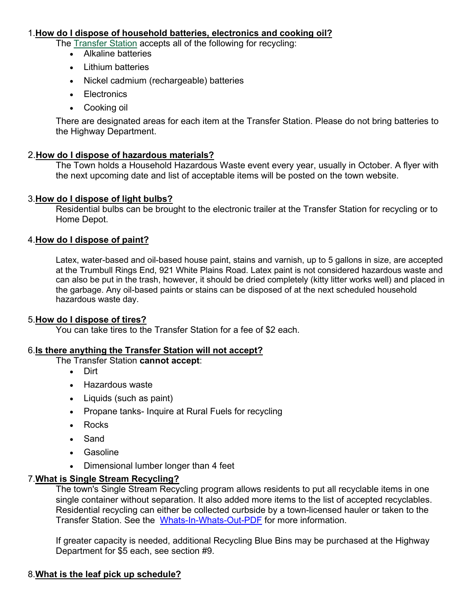#### 1.**How do I dispose of household [batteries, electronics](https://www.trumbull-ct.gov/Faq.aspx?QID=107) and cooking oil?**

The [Transfer](https://www.trumbull-ct.gov/275/Transfer-Station-Recycling-Center) Station accepts all of the following for recycling:

- Alkaline batteries
- Lithium batteries
- Nickel cadmium (rechargeable) batteries
- Electronics
- Cooking oil

There are designated areas for each item at the Transfer Station. Please do not bring batteries to the Highway Department.

## 2.**How [do I dispose](https://www.trumbull-ct.gov/Faq.aspx?QID=107) of hazardous materials?**

The Town holds a Household Hazardous Waste event every year, usually in October. A flyer with the next upcoming date and list of acceptable items will be posted on the town website.

## 3.**How [do I dispose](https://www.trumbull-ct.gov/Faq.aspx?QID=107) of light bulbs?**

Residential bulbs can be brought to the electronic trailer at the Transfer Station for recycling or to Home Depot.

## 4.**How [do I dispose](https://www.trumbull-ct.gov/Faq.aspx?QID=107) of paint?**

Latex, water-based and oil-based house paint, stains and varnish, up to 5 gallons in size, are accepted at the Trumbull Rings End, 921 White Plains Road. Latex paint is not considered hazardous waste and can also be put in the trash, however, it should be dried completely (kitty litter works well) and placed in the garbage. Any oil-based paints or stains can be disposed of at the next scheduled household hazardous waste day.

## 5.**How [do I dispose](https://www.trumbull-ct.gov/Faq.aspx?QID=107) of tires?**

You can take tires to the Transfer Station for a fee of \$2 each.

## 6.**Is there [anything the Transfer Station will](https://www.trumbull-ct.gov/Faq.aspx?QID=107) not accept?**

The Transfer Station **cannot accept**:

- Dirt
- Hazardous waste
- Liquids (such as paint)
- Propane tanks- Inquire at Rural Fuels for recycling
- Rocks
- Sand
- Gasoline
- Dimensional lumber longer than 4 feet

## 7.**What is Single Stream [Recycling?](https://www.trumbull-ct.gov/Faq.aspx?QID=107)**

The town's Single Stream Recycling program allows residents to put all recyclable items in one single container without separation. It also added more items to the list of accepted recyclables. Residential recycling can either be collected curbside by a town-licensed hauler or taken to the Transfer Station. See the [Whats-In-Whats-Out-PDF](https://www.trumbull-ct.gov/DocumentCenter/View/1017/Whats-In-Whats-Out-PDF) for more information.

If greater capacity is needed, additional Recycling Blue Bins may be purchased at the Highway Department for \$5 each, see section #9.

## 8.**What is the leaf pick up [schedule?](https://www.trumbull-ct.gov/Faq.aspx?QID=107)**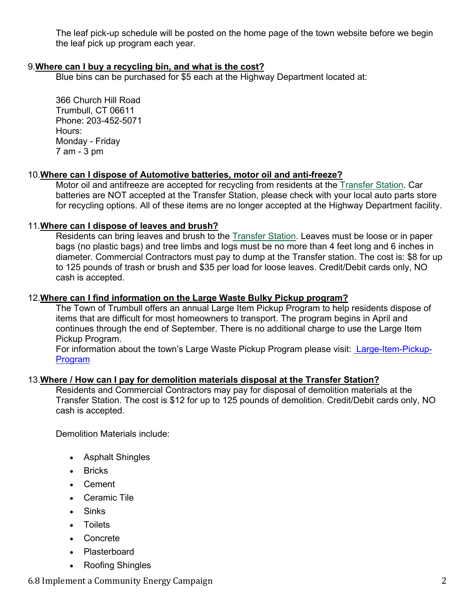The leaf pick-up schedule will be posted on the home page of the town website before we begin the leaf pick up program each year.

## 9.**Where [can I buy a recycling](https://www.trumbull-ct.gov/Faq.aspx?QID=107) bin, and what is the cost?**

Blue bins can be purchased for \$5 each at the Highway Department located at:

366 Church Hill Road Trumbull, CT 06611 Phone: 203-452-5071 Hours: Monday - Friday 7 am - 3 pm

## 10.**Where can I dispose of Automotive [batteries, motor](https://www.trumbull-ct.gov/Faq.aspx?QID=107) oil and anti-freeze?**

Motor oil and antifreeze are accepted for recycling from residents at the [Transfer](https://www.trumbull-ct.gov/275/Transfer-Station-Recycling-Center) Station. Car batteries are NOT accepted at the Transfer Station, please check with your local auto parts store for recycling options. All of these items are no longer accepted at the Highway Department facility.

## 11.**Where [can I dispose](https://www.trumbull-ct.gov/Faq.aspx?QID=107) of leaves and brush?**

Residents can bring leaves and brush to the [Transfer](https://www.trumbull-ct.gov/275/Transfer-Station-Recycling-Center) Station. Leaves must be loose or in paper bags (no plastic bags) and tree limbs and logs must be no more than 4 feet long and 6 inches in diameter. Commercial Contractors must pay to dump at the Transfer station. The cost is: \$8 for up to 125 pounds of trash or brush and \$35 per load for loose leaves. Credit/Debit cards only, NO cash is accepted.

## 12.**Where can I find information [on the Large](https://www.trumbull-ct.gov/Faq.aspx?QID=107) Waste Bulky Pickup program?**

The Town of Trumbull offers an annual Large Item Pickup Program to help residents dispose of items that are difficult for most homeowners to transport. The program begins in April and continues through the end of September. There is no additional charge to use the Large Item Pickup Program.

For information about the town's Large Waste Pickup Program please visit: [Large-Item-Pickup-](https://d.docs.live.net/0a636a1ad55f74cc/Documents/SUSTAINABLE%20TRUMBULL/RECYCLING/%20Large-Item-Pickup-Program)[Program](https://d.docs.live.net/0a636a1ad55f74cc/Documents/SUSTAINABLE%20TRUMBULL/RECYCLING/%20Large-Item-Pickup-Program)

## 13.**Where / How [can I pay for demolition](https://www.trumbull-ct.gov/Faq.aspx?QID=107) materials disposal at the Transfer Station?**

Residents and Commercial Contractors may pay for disposal of demolition materials at the Transfer Station. The cost is \$12 for up to 125 pounds of demolition. Credit/Debit cards only, NO cash is accepted.

Demolition Materials include:

- Asphalt Shingles
- Bricks
- Cement
- Ceramic Tile
- Sinks
- Toilets
- Concrete
- Plasterboard
- Roofing Shingles

6.8 Implement a Community Energy Campaign 2